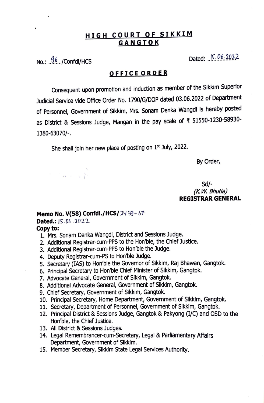# **HIGH COURT OF SIKKIM GANGTOK**

No.: j(,/Confdl/HCS Dated: .. !?.:.9.t~J...2

# **OFFICE ORDER**

Consequent upon promotion and induction as member of the Sikkim Superior Judicial Service vide Office Order No. 1790/G/DOP dated 03.06.2022 of Department of Personnel, Government of Sikkim, Mrs. Sonam Denka Wangdi is hereby posted as District & Sessions Judge, Mangan in the pay scale of ₹ 51550-1230-58930-1380-63070/-.

She shall join her new place of posting on 1st July, 2022.

By Order,

## Sd/- *(K.W. Bhutia)*  **REGISTRAR GENERAL**

## **Memo No. V(58) Confdl./HCS/** 24  $39 - 67$

### **Dated.:**  $15.06.2022$

 $\sum_{i=1}^{n}$ 

### **Copy to:**

- 1. Mrs. Sonam Denka Wangdi, District and Sessions Judge.
- 2. Additional Registrar-cum-PPS to the Hon'ble, the Chief Justice.
- 3. Additional Registrar-cum-PPS to Hon'ble the Judge.
- 4. Deputy Registrar-cum-PS to Hon'ble Judge.
- 5. Secretary (IAS) to Hon'ble the Governor of Sikkim, Raj Bhawan, Gangtok.
- 6. Principal Secretary to Hon'ble Chief Minister of Sikkim, Gangtok.
- 7. Advocate General, Government of Sikkim, Gangtok.
- 8. Additional Advocate General, Government of Sikkim, Gangtok.
- 9. Chief Secretary, Government of Sikkim, Gangtok.
- 10. Principal Secretary, Home Department, Government of Sikkim, Gangtok.
- 11. Secretary, Department of Personnel, Government of Sikkim, Gangtok.
- 12. Principal District & Sessions Judge, Gangtok & Pakyong (I/C) and OSD to the Hon·'ble, the Chief Justice.
- 13. All District & Sessions Judges.
- 14. Legal Remembrancer-cum-Secretary, Legal & Parliamentary Affairs Department, Government of Sikkim.
- 15. Member Secretary, Sikkim State Legal Services Authority.